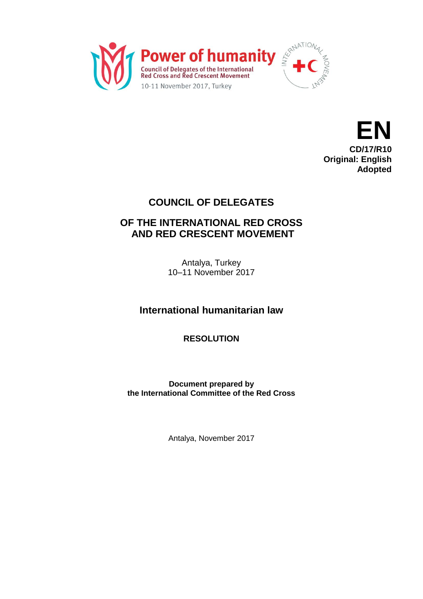



## **COUNCIL OF DELEGATES**

## **OF THE INTERNATIONAL RED CROSS AND RED CRESCENT MOVEMENT**

Antalya, Turkey 10–11 November 2017

**International humanitarian law**

**RESOLUTION**

**Document prepared by the International Committee of the Red Cross**

Antalya, November 2017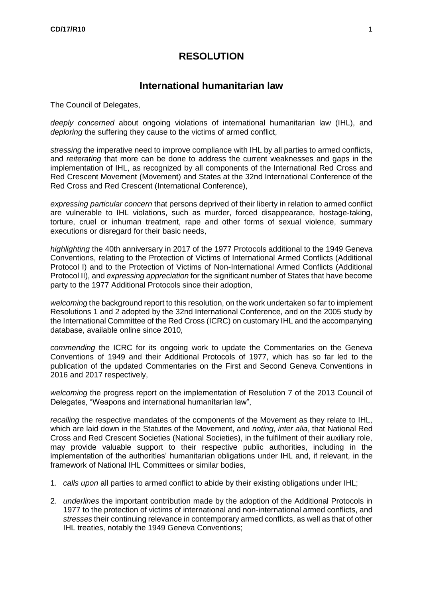## **RESOLUTION**

## **International humanitarian law**

The Council of Delegates,

*deeply concerned* about ongoing violations of international humanitarian law (IHL), and *deploring* the suffering they cause to the victims of armed conflict,

*stressing* the imperative need to improve compliance with IHL by all parties to armed conflicts, and *reiterating* that more can be done to address the current weaknesses and gaps in the implementation of IHL, as recognized by all components of the International Red Cross and Red Crescent Movement (Movement) and States at the 32nd International Conference of the Red Cross and Red Crescent (International Conference),

*expressing particular concern* that persons deprived of their liberty in relation to armed conflict are vulnerable to IHL violations, such as murder, forced disappearance, hostage-taking, torture, cruel or inhuman treatment, rape and other forms of sexual violence, summary executions or disregard for their basic needs,

*highlighting* the 40th anniversary in 2017 of the 1977 Protocols additional to the 1949 Geneva Conventions, relating to the Protection of Victims of International Armed Conflicts (Additional Protocol I) and to the Protection of Victims of Non-International Armed Conflicts (Additional Protocol II), and *expressing appreciation* for the significant number of States that have become party to the 1977 Additional Protocols since their adoption,

*welcoming* the background report to this resolution, on the work undertaken so far to implement Resolutions 1 and 2 adopted by the 32nd International Conference, and on the 2005 study by the International Committee of the Red Cross (ICRC) on customary IHL and the accompanying database, available online since 2010,

*commending* the ICRC for its ongoing work to update the Commentaries on the Geneva Conventions of 1949 and their Additional Protocols of 1977, which has so far led to the publication of the updated Commentaries on the First and Second Geneva Conventions in 2016 and 2017 respectively,

*welcoming* the progress report on the implementation of Resolution 7 of the 2013 Council of Delegates, "Weapons and international humanitarian law",

*recalling* the respective mandates of the components of the Movement as they relate to IHL, which are laid down in the Statutes of the Movement, and *noting*, *inter alia*, that National Red Cross and Red Crescent Societies (National Societies), in the fulfilment of their auxiliary role, may provide valuable support to their respective public authorities, including in the implementation of the authorities' humanitarian obligations under IHL and, if relevant, in the framework of National IHL Committees or similar bodies,

- 1. *calls upon* all parties to armed conflict to abide by their existing obligations under IHL;
- 2. *underlines* the important contribution made by the adoption of the Additional Protocols in 1977 to the protection of victims of international and non-international armed conflicts, and *stresses* their continuing relevance in contemporary armed conflicts, as well as that of other IHL treaties, notably the 1949 Geneva Conventions;